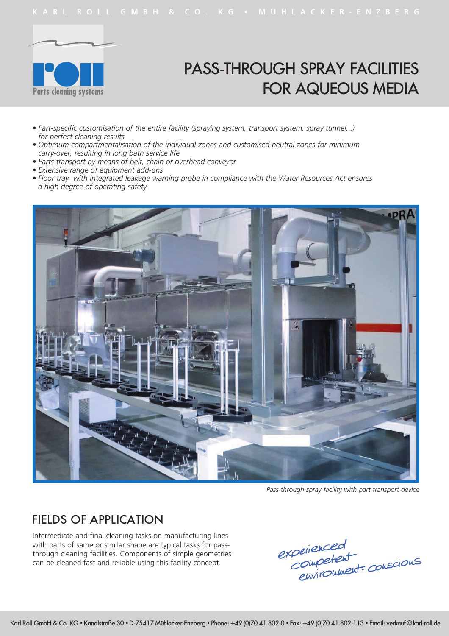

# PASS-THROUGH SPRAY FACILITIES FOR AQUEOUS MEDIA

- *• Part-specific customisation of the entire facility (spraying system, transport system, spray tunnel...) for perfect cleaning results*
- *• Optimum compartmentalisation of the individual zones and customised neutral zones for minimum carry-over, resulting in long bath service life*
- *• Parts transport by means of belt, chain or overhead conveyor*
- *• Extensive range of equipment add-ons*
- *• Floor tray with integrated leakage warning probe in compliance with the Water Resources Act ensures a high degree of operating safety*



*Pass-through spray facility with part transport device*

#### FIELDS OF APPLICATION

Intermediate and final cleaning tasks on manufacturing lines with parts of same or similar shape are typical tasks for passthrough cleaning facilities. Components of simple geometries can be cleaned fast and reliable using this facility concept.

experienced<br>Competent<br>environment conscious